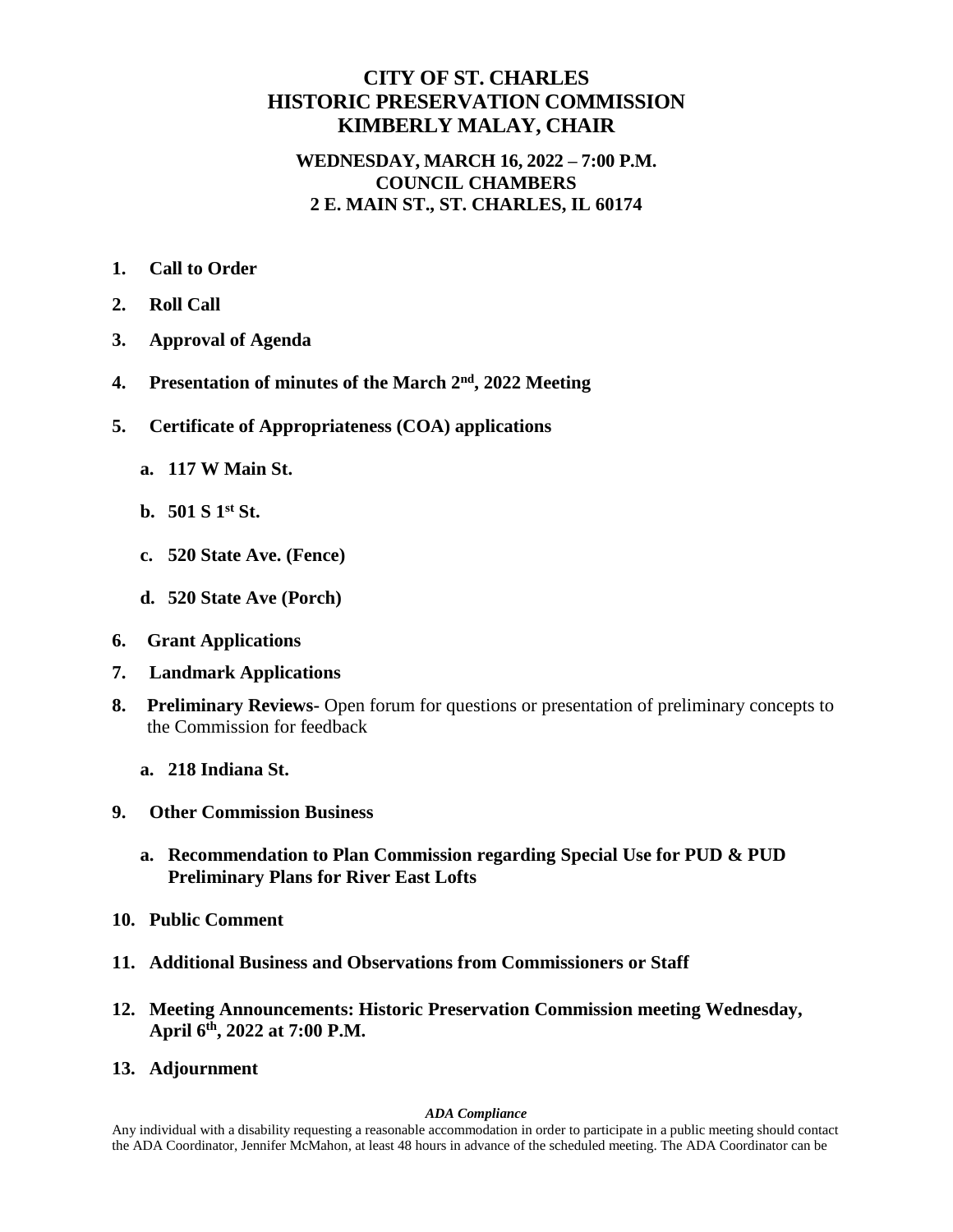## **CITY OF ST. CHARLES HISTORIC PRESERVATION COMMISSION KIMBERLY MALAY, CHAIR**

## **WEDNESDAY, MARCH 16, 2022 – 7:00 P.M. COUNCIL CHAMBERS 2 E. MAIN ST., ST. CHARLES, IL 60174**

- **1. Call to Order**
- **2. Roll Call**
- **3. Approval of Agenda**
- 4. Presentation of minutes of the March 2<sup>nd</sup>, 2022 Meeting
- **5. Certificate of Appropriateness (COA) applications**
	- **a. 117 W Main St.**
	- **b. 501 S 1st St.**
	- **c. 520 State Ave. (Fence)**
	- **d. 520 State Ave (Porch)**
- **6. Grant Applications**
- **7. Landmark Applications**
- **8. Preliminary Reviews-** Open forum for questions or presentation of preliminary concepts to the Commission for feedback
	- **a. 218 Indiana St.**
- **9. Other Commission Business**
	- **a. Recommendation to Plan Commission regarding Special Use for PUD & PUD Preliminary Plans for River East Lofts**
- **10. Public Comment**
- **11. Additional Business and Observations from Commissioners or Staff**
- **12. Meeting Announcements: Historic Preservation Commission meeting Wednesday, April 6th , 2022 at 7:00 P.M.**
- **13. Adjournment**

## *ADA Compliance*

Any individual with a disability requesting a reasonable accommodation in order to participate in a public meeting should contact the ADA Coordinator, Jennifer McMahon, at least 48 hours in advance of the scheduled meeting. The ADA Coordinator can be